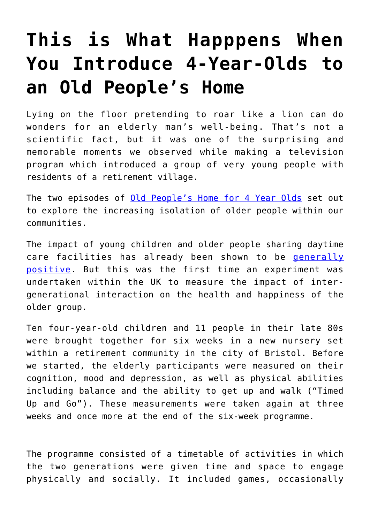## **[This is What Happpens When](https://intellectualtakeout.org/2017/08/this-is-what-happpens-when-you-introduce-4-year-olds-to-an-old-peoples-home/) [You Introduce 4-Year-Olds to](https://intellectualtakeout.org/2017/08/this-is-what-happpens-when-you-introduce-4-year-olds-to-an-old-peoples-home/) [an Old People's Home](https://intellectualtakeout.org/2017/08/this-is-what-happpens-when-you-introduce-4-year-olds-to-an-old-peoples-home/)**

Lying on the floor pretending to roar like a lion can do wonders for an elderly man's well-being. That's not a scientific fact, but it was one of the surprising and memorable moments we observed while making a television program which introduced a group of very young people with residents of a retirement village.

The two episodes of [Old People's Home for 4 Year Olds](http://www.channel4.com/programmes/old-peoples-home-for-4-year-olds) set out to explore the increasing isolation of older people within our communities.

The impact of young children and older people sharing daytime care facilities has already been shown to be [generally](http://www.tandfonline.com/doi/abs/10.1080/15350770.2011.618381) [positive](http://www.tandfonline.com/doi/abs/10.1080/15350770.2011.618381). But this was the first time an experiment was undertaken within the UK to measure the impact of intergenerational interaction on the health and happiness of the older group.

Ten four-year-old children and 11 people in their late 80s were brought together for six weeks in a new nursery set within a retirement community in the city of Bristol. Before we started, the elderly participants were measured on their cognition, mood and depression, as well as physical abilities including balance and the ability to get up and walk ("Timed Up and Go"). These measurements were taken again at three weeks and once more at the end of the six-week programme.

The programme consisted of a timetable of activities in which the two generations were given time and space to engage physically and socially. It included games, occasionally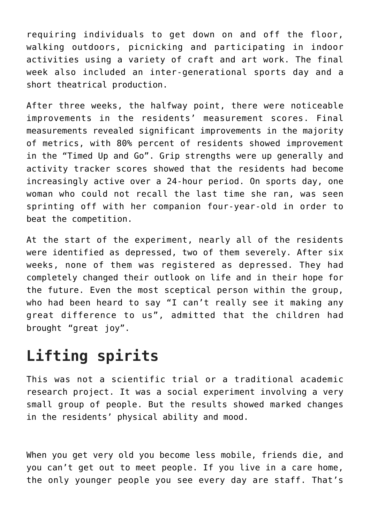requiring individuals to get down on and off the floor, walking outdoors, picnicking and participating in indoor activities using a variety of craft and art work. The final week also included an inter-generational sports day and a short theatrical production.

After three weeks, the halfway point, there were noticeable improvements in the residents' measurement scores. Final measurements revealed significant improvements in the majority of metrics, with 80% percent of residents showed improvement in the "Timed Up and Go". Grip strengths were up generally and activity tracker scores showed that the residents had become increasingly active over a 24-hour period. On sports day, one woman who could not recall the last time she ran, was seen sprinting off with her companion four-year-old in order to beat the competition.

At the start of the experiment, nearly all of the residents were identified as depressed, two of them severely. After six weeks, none of them was registered as depressed. They had completely changed their outlook on life and in their hope for the future. Even the most sceptical person within the group, who had been heard to say "I can't really see it making any great difference to us", admitted that the children had brought "great joy".

## **Lifting spirits**

This was not a scientific trial or a traditional academic research project. It was a social experiment involving a very small group of people. But the results showed marked changes in the residents' physical ability and mood.

When you get very old you become less mobile, friends die, and you can't get out to meet people. If you live in a care home, the only younger people you see every day are staff. That's